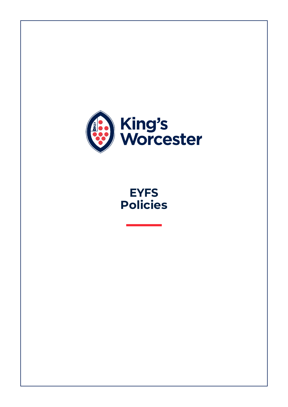

# **EYFS Policies**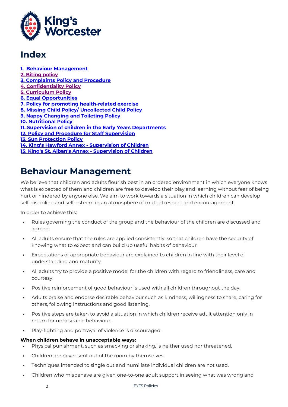

## **Index**

**1. [Behaviour Management](#page-1-0) 2. [Biting policy](#page-2-0) 3. [Complaints Policy and Procedure](#page-3-0) 4. [Confidentiality Policy](#page-5-0) 5. [Curriculum Policy](#page-7-0) [6. Equal Opportunities](#page-12-0) [7. Policy for promoting health-related exercise](#page-12-1) [8. Missing Child Policy/ Uncollected Child Policy](#page-13-0) [9. Nappy Changing and Toileting Policy](#page-18-0) [10. Nutritional Policy](#page-21-0) [11. Supervision of children in the Early Years Departments](#page-22-0) [12. Policy and Procedure for Staff Supervision](#page-22-1) [13. Sun Protection Policy](#page-24-0) [14. King's Hawford Annex](#page-26-0) - Supervision of Children [15. King's St. Alban's Annex -](#page-29-0) Supervision of Children**

## <span id="page-1-0"></span>**Behaviour Management**

We believe that children and adults flourish best in an ordered environment in which everyone knows what is expected of them and children are free to develop their play and learning without fear of being hurt or hindered by anyone else. We aim to work towards a situation in which children can develop self-discipline and self-esteem in an atmosphere of mutual respect and encouragement.

In order to achieve this:

- **•** Rules governing the conduct of the group and the behaviour of the children are discussed and agreed.
- **•** All adults ensure that the rules are applied consistently, so that children have the security of knowing what to expect and can build up useful habits of behaviour.
- **•** Expectations of appropriate behaviour are explained to children in line with their level of understanding and maturity.
- **•** All adults try to provide a positive model for the children with regard to friendliness, care and courtesy.
- **•** Positive reinforcement of good behaviour is used with all children throughout the day.
- **•** Adults praise and endorse desirable behaviour such as kindness, willingness to share, caring for others, following instructions and good listening.
- **•** Positive steps are taken to avoid a situation in which children receive adult attention only in return for undesirable behaviour.
- **•** Play-fighting and portrayal of violence is discouraged.

#### **When children behave in unacceptable ways:**

- **•** Physical punishment, such as smacking or shaking, is neither used nor threatened.
- **•** Children are never sent out of the room by themselves
- **•** Techniques intended to single out and humiliate individual children are not used.
- **•** Children who misbehave are given one-to-one adult support in seeing what was wrong and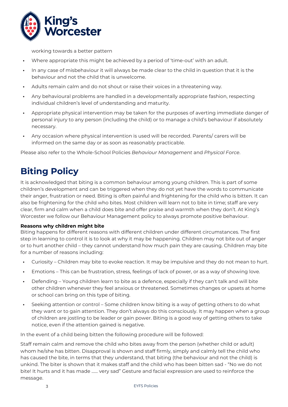

working towards a better pattern

- **•** Where appropriate this might be achieved by a period of 'time-out' with an adult.
- **•** In any case of misbehaviour it will always be made clear to the child in question that it is the behaviour and not the child that is unwelcome.
- **•** Adults remain calm and do not shout or raise their voices in a threatening way.
- **•** Any behavioural problems are handled in a developmentally appropriate fashion, respecting individual children's level of understanding and maturity.
- **•** Appropriate physical intervention may be taken for the purposes of averting immediate danger of personal injury to any person (including the child) or to manage a child's behaviour if absolutely necessary.
- **•** Any occasion where physical intervention is used will be recorded. Parents/ carers will be informed on the same day or as soon as reasonably practicable.

Please also refer to the Whole-School Policies *Behaviour Management* and *Physical Force*.

## <span id="page-2-0"></span>**Biting Policy**

It is acknowledged that biting is a common behaviour among young children. This is part of some children's development and can be triggered when they do not yet have the words to communicate their anger, frustration or need. Biting is often painful and frightening for the child who is bitten. It can also be frightening for the child who bites. Most children will learn not to bite in time; staff are very clear, firm and calm when a child does bite and offer praise and warmth when they don't. At King's Worcester we follow our Behaviour Management policy to always promote positive behaviour.

### **Reasons why children might bite**

Biting happens for different reasons with different children under different circumstances. The first step in learning to control it is to look at why it may be happening. Children may not bite out of anger or to hurt another child – they cannot understand how much pain they are causing. Children may bite for a number of reasons including:

- **•** Curiosity Children may bite to evoke reaction. It may be impulsive and they do not mean to hurt.
- **•** Emotions This can be frustration, stress, feelings of lack of power, or as a way of showing love.
- **•** Defending Young children learn to bite as a defence, especially if they can't talk and will bite other children whenever they feel anxious or threatened. Sometimes changes or upsets at home or school can bring on this type of biting.
- **•** Seeking attention or control Some children know biting is a way of getting others to do what they want or to gain attention. They don't always do this consciously. It may happen when a group of children are jostling to be leader or gain power. Biting is a good way of getting others to take notice, even if the attention gained is negative.

In the event of a child being bitten the following procedure will be followed:

Staff remain calm and remove the child who bites away from the person (whether child or adult) whom he/she has bitten. Disapproval is shown and staff firmly, simply and calmly tell the child who has caused the bite, in terms that they understand, that biting (the behaviour and not the child) is unkind. The biter is shown that it makes staff and the child who has been bitten sad - "No we do not bite! It hurts and it has made …… very sad" Gesture and facial expression are used to reinforce the message.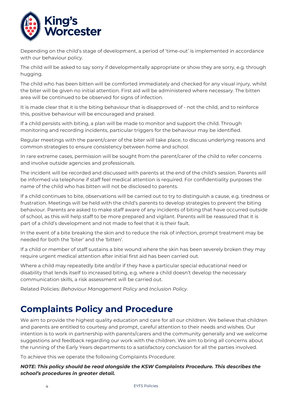

Depending on the child's stage of development, a period of 'time-out' is implemented in accordance with our behaviour policy.

The child will be asked to say sorry if developmentally appropriate or show they are sorry, e.g. through hugging.

The child who has been bitten will be comforted immediately and checked for any visual injury, whilst the biter will be given no initial attention. First aid will be administered where necessary. The bitten area will be continued to be observed for signs of infection.

It is made clear that it is the biting behaviour that is disapproved of - not the child, and to reinforce this, positive behaviour will be encouraged and praised.

If a child persists with biting, a plan will be made to monitor and support the child. Through monitoring and recording incidents, particular triggers for the behaviour may be identified.

Regular meetings with the parent/carer of the biter will take place, to discuss underlying reasons and common strategies to ensure consistency between home and school.

In rare extreme cases, permission will be sought from the parent/carer of the child to refer concerns and involve outside agencies and professionals.

The incident will be recorded and discussed with parents at the end of the child's session. Parents will be informed via telephone if staff feel medical attention is required. For confidentiality purposes the name of the child who has bitten will not be disclosed to parents.

If a child continues to bite, observations will be carried out to try to distinguish a cause, e.g. tiredness or frustration. Meetings will be held with the child's parents to develop strategies to prevent the biting behaviour. Parents are asked to make staff aware of any incidents of biting that have occurred outside of school, as this will help staff to be more prepared and vigilant. Parents will be reassured that it is part of a child's development and not made to feel that it is their fault.

In the event of a bite breaking the skin and to reduce the risk of infection, prompt treatment may be needed for both the 'biter' and the 'bitten'.

If a child or member of staff sustains a bite wound where the skin has been severely broken they may require urgent medical attention after initial first aid has been carried out.

Where a child may repeatedly bite and/or if they have a particular special educational need or disability that lends itself to increased biting, e.g. where a child doesn't develop the necessary communication skills, a risk assessment will be carried out.

Related Policies: *Behaviour Management Policy* and *Inclusion Policy*.

## <span id="page-3-0"></span>**Complaints Policy and Procedure**

We aim to provide the highest quality education and care for all our children. We believe that children and parents are entitled to courtesy and prompt, careful attention to their needs and wishes. Our intention is to work in partnership with parents/carers and the community generally and we welcome suggestions and feedback regarding our work with the children. We aim to bring all concerns about the running of the Early Years departments to a satisfactory conclusion for all the parties involved.

To achieve this we operate the following Complaints Procedure:

### *NOTE: This policy should be read alongside the KSW Complaints Procedure. This describes the school's procedures in greater detail.*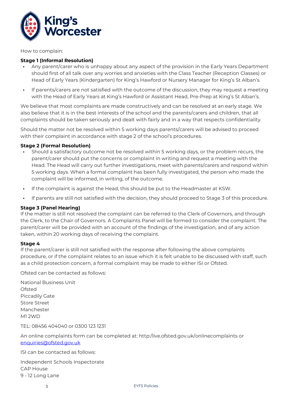

How to complain:

### **Stage 1 (Informal Resolution)**

- **•** Any parent/carer who is unhappy about any aspect of the provision in the Early Years Department should first of all talk over any worries and anxieties with the Class Teacher (Reception Classes) or Head of Early Years (Kindergarten) for King's Hawford or Nursery Manager for King's St Alban's.
- **•** If parents/carers are not satisfied with the outcome of the discussion, they may request a meeting with the Head of Early Years at King's Hawford or Assistant Head, Pre-Prep at King's St Alban's.

We believe that most complaints are made constructively and can be resolved at an early stage. We also believe that it is in the best interests of the school and the parents/carers and children, that all complaints should be taken seriously and dealt with fairly and in a way that respects confidentiality.

Should the matter not be resolved within 5 working days parents/carers will be advised to proceed with their complaint in accordance with stage 2 of the school's procedures.

### **Stage 2 (Formal Resolution)**

- **•** Should a satisfactory outcome not be resolved within 5 working days, or the problem recurs, the parent/carer should put the concerns or complaint in writing and request a meeting with the Head. The Head will carry out further investigations, meet with parents/carers and respond within 5 working days. When a formal complaint has been fully investigated, the person who made the complaint will be informed, in writing, of the outcome.
- **•** If the complaint is against the Head, this should be put to the Headmaster at KSW.
- **•** If parents are still not satisfied with the decision, they should proceed to Stage 3 of this procedure.

#### **Stage 3 (Panel Hearing)**

If the matter is still not resolved the complaint can be referred to the Clerk of Governors, and through the Clerk, to the Chair of Governors. A Complaints Panel will be formed to consider the complaint. The parent/carer will be provided with an account of the findings of the investigation, and of any action taken, within 20 working days of receiving the complaint.

#### **Stage 4**

If the parent/carer is still not satisfied with the response after following the above complaints procedure, or if the complaint relates to an issue which it is felt unable to be discussed with staff, such as a child protection concern, a formal complaint may be made to either ISI or Ofsted.

Ofsted can be contacted as follows:

National Business Unit Ofsted Piccadily Gate Store Street Manchester M1 2WD

TEL: 08456 404040 or 0300 123 1231

An online complaints form can be completed at: http:/live.ofsted.gov.uk/onlinecomplaints or [enquiries@ofsted.gov.uk](mailto:enquiries@ofsted.gov.uk)

ISI can be contacted as follows:

Independent Schools Inspectorate CAP House 9 - 12 Long Lane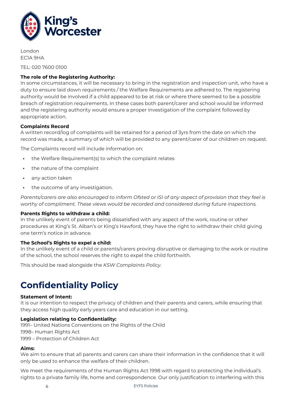

London EC1A 9HA

TEL: 020 7600 0100

### **The role of the Registering Authority:**

In some circumstances, it will be necessary to bring in the registration and inspection unit, who have a duty to ensure laid down requirements / the Welfare Requirements are adhered to. The registering authority would be involved if a child appeared to be at risk or where there seemed to be a possible breach of registration requirements. In these cases both parent/carer and school would be informed and the registering authority would ensure a proper investigation of the complaint followed by appropriate action.

### **Complaints Record**

A written record/log of complaints will be retained for a period of 3yrs from the date on which the record was made, a summary of which will be provided to any parent/carer of our children on request.

The Complaints record will include information on:

- **•** the Welfare Requirement(s) to which the complaint relates
- **•** the nature of the complaint
- **•** any action taken
- **•** the outcome of any investigation.

*Parents/carers are also encouraged to inform Ofsted or ISI of any aspect of provision that they feel is worthy of compliment. These views would be recorded and considered during future inspections.* 

#### **Parents Rights to withdraw a child:**

In the unlikely event of parents being dissatisfied with any aspect of the work, routine or other procedures at King's St. Alban's or King's Hawford, they have the right to withdraw their child giving one term's notice in advance.

### **The School's Rights to expel a child:**

In the unlikely event of a child or parents/carers proving disruptive or damaging to the work or routine of the school, the school reserves the right to expel the child forthwith.

This should be read alongside the *KSW Complaints Policy*.

## <span id="page-5-0"></span>**Confidentiality Policy**

#### **Statement of Intent:**

It is our intention to respect the privacy of children and their parents and carers, while ensuring that they access high quality early years care and education in our setting.

#### **Legislation relating to Confidentiality:**

1991– United Nations Conventions on the Rights of the Child 1998– Human Rights Act 1999 – Protection of Children Act

#### **Aims:**

We aim to ensure that all parents and carers can share their information in the confidence that it will only be used to enhance the welfare of their children.

We meet the requirements of the Human Rights Act 1998 with regard to protecting the individual's rights to a private family life, home and correspondence. Our only justification to interfering with this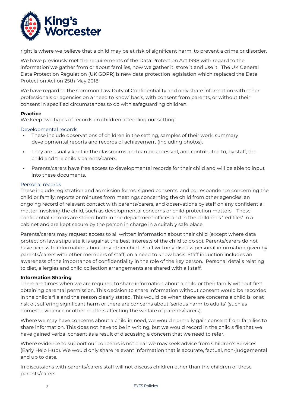

right is where we believe that a child may be at risk of significant harm, to prevent a crime or disorder.

We have previously met the requirements of the Data Protection Act 1998 with regard to the information we gather from or about families, how we gather it, store it and use it. The UK General Data Protection Regulation (UK GDPR) is new data protection legislation which replaced the Data Protection Act on 25th May 2018.

We have regard to the Common Law Duty of Confidentiality and only share information with other professionals or agencies on a 'need to know' basis, with consent from parents, or without their consent in specified circumstances to do with safeguarding children.

#### **Practice**

We keep two types of records on children attending our setting:

#### Developmental records

- **•** These include observations of children in the setting, samples of their work, summary developmental reports and records of achievement (including photos).
- **•** They are usually kept in the classrooms and can be accessed, and contributed to, by staff, the child and the child's parents/carers.
- **•** Parents/carers have free access to developmental records for their child and will be able to input into these documents.

#### Personal records

These include registration and admission forms, signed consents, and correspondence concerning the child or family, reports or minutes from meetings concerning the child from other agencies, an ongoing record of relevant contact with parents/carers, and observations by staff on any confidential matter involving the child, such as developmental concerns or child protection matters. These confidential records are stored both in the department offices and in the children's 'red files' in a cabinet and are kept secure by the person in charge in a suitably safe place.

Parents/carers may request access to all written information about their child (except where data protection laws stipulate it is against the best interests of the child to do so). Parents/carers do not have access to information about any other child. Staff will only discuss personal information given by parents/carers with other members of staff, on a need to know basis. Staff induction includes an awareness of the importance of confidentiality in the role of the key person. Personal details relating to diet, allergies and child collection arrangements are shared with all staff.

#### **Information Sharing**

There are times when we are required to share information about a child or their family without first obtaining parental permission. This decision to share information without consent would be recorded in the child's file and the reason clearly stated. This would be when there are concerns a child is, or at risk of, suffering significant harm or there are concerns about 'serious harm to adults' (such as domestic violence or other matters affecting the welfare of parents/carers).

Where we may have concerns about a child in need, we would normally gain consent from families to share information. This does not have to be in writing, but we would record in the child's file that we have gained verbal consent as a result of discussing a concern that we need to refer.

Where evidence to support our concerns is not clear we may seek advice from Children's Services (Early Help Hub). We would only share relevant information that is accurate, factual, non-judgemental and up to date.

In discussions with parents/carers staff will not discuss children other than the children of those parents/carers.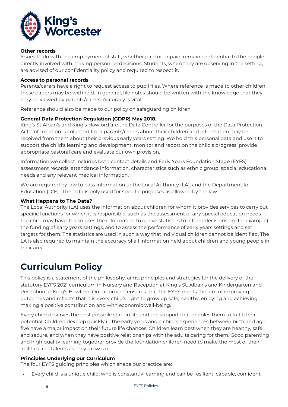

#### **Other records**

Issues to do with the employment of staff, whether paid or unpaid, remain confidential to the people directly involved with making personnel decisions. Students, when they are observing in the setting, are advised of our confidentiality policy and required to respect it.

#### **Access to personal records**

Parents/carers have a right to request access to pupil files. Where reference is made to other children these papers may be withheld. In general, file notes should be written with the knowledge that they may be viewed by parents/carers. Accuracy is vital.

Reference should also be made to our policy on safeguarding children.

### **General Data Protection Regulation (GDPR) May 2018.**

King's St Alban's and King's Hawford are the Data Controller for the purposes of the Data Protection Act. Information is collected from parents/carers about their children and information may be received from them about their previous early years setting. We hold this personal data and use it to support the child's learning and development, monitor and report on the child's progress, provide appropriate pastoral care and evaluate our own provision.

Information we collect includes both contact details and Early Years Foundation Stage (EYFS) assessment records, attendance information, characteristics such as ethnic group, special educational needs and any relevant medical information.

We are required by law to pass information to the Local Authority (LA), and the Department for Education (DfE). The data is only used for specific purposes as allowed by the law.

### **What Happens to The Data?**

The Local Authority (LA) uses the information about children for whom it provides services to carry out specific functions for which it is responsible, such as the assessment of any special education needs the child may have. It also uses the information to derive statistics to inform decisions on (for example) the funding of early years settings, and to assess the performance of early years settings and set targets for them. The statistics are used in such a way that individual children cannot be identified. The LA is also required to maintain the accuracy of all information held about children and young people in their area.

## <span id="page-7-0"></span>**Curriculum Policy**

This policy is a statement of the philosophy, aims, principles and strategies for the delivery of the statutory EYFS 2021 curriculum in Nursery and Reception at King's St. Alban's and Kindergarten and Reception at King's Hawford. Our approach ensures that the EYFS meets the aim of improving outcomes and reflects that it is every child's right to grow up safe, healthy, enjoying and achieving, making a positive contribution and with economic well-being.

Every child deserves the best possible start in life and the support that enables them to fulfil their potential. Children develop quickly in the early years and a child's experiences between birth and age five have a major impact on their future life chances. Children learn best when they are healthy, safe and secure, and when they have positive relationships with the adults caring for them. Good parenting and high quality learning together provide the foundation children need to make the most of their abilities and talents as they grow up.

#### **Principles Underlying our Curriculum**

The four EYFS guiding principles which shape our practice are:

**•** Every child is a unique child, who is constantly learning and can be resilient, capable, confident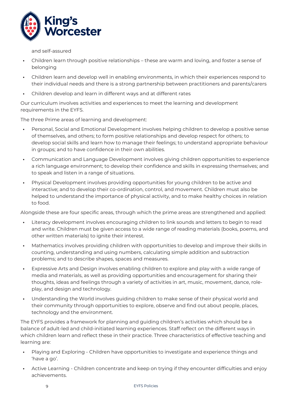

and self-assured

- **•** Children learn through positive relationships these are warm and loving, and foster a sense of belonging
- **•** Children learn and develop well in enabling environments, in which their experiences respond to their individual needs and there is a strong partnership between practitioners and parents/carers
- **•** Children develop and learn in different ways and at different rates

Our curriculum involves activities and experiences to meet the learning and development requirements in the EYFS.

The three Prime areas of learning and development:

- **•** Personal, Social and Emotional Development involves helping children to develop a positive sense of themselves, and others; to form positive relationships and develop respect for others; to develop social skills and learn how to manage their feelings; to understand appropriate behaviour in groups; and to have confidence in their own abilities.
- **•** Communication and Language Development involves giving children opportunities to experience a rich language environment; to develop their confidence and skills in expressing themselves; and to speak and listen in a range of situations.
- **•** Physical Development involves providing opportunities for young children to be active and interactive; and to develop their co-ordination, control, and movement. Children must also be helped to understand the importance of physical activity, and to make healthy choices in relation to food.

Alongside these are four specific areas, through which the prime areas are strengthened and applied:

- **•** Literacy development involves encouraging children to link sounds and letters to begin to read and write. Children must be given access to a wide range of reading materials (books, poems, and other written materials) to ignite their interest.
- **•** Mathematics involves providing children with opportunities to develop and improve their skills in counting, understanding and using numbers, calculating simple addition and subtraction problems; and to describe shapes, spaces and measures.
- **•** Expressive Arts and Design involves enabling children to explore and play with a wide range of media and materials, as well as providing opportunities and encouragement for sharing their thoughts, ideas and feelings through a variety of activities in art, music, movement, dance, roleplay, and design and technology.
- **•** Understanding the World involves guiding children to make sense of their physical world and their community through opportunities to explore, observe and find out about people, places, technology and the environment.

The EYFS provides a framework for planning and guiding children's activities which should be a balance of adult-led and child-initiated learning experiences. Staff reflect on the different ways in which children learn and reflect these in their practice. Three characteristics of effective teaching and learning are:

- **•** Playing and Exploring Children have opportunities to investigate and experience things and 'have a go'.
- **•** Active Learning Children concentrate and keep on trying if they encounter difficulties and enjoy achievements.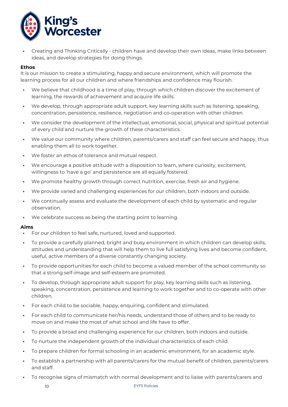

**•** Creating and Thinking Critically - children have and develop their own ideas, make links between ideas, and develop strategies for doing things.

### **Ethos**

It is our mission to create a stimulating, happy and secure environment, which will promote the learning process for all our children and where friendships and confidence may flourish.

- **•** We believe that childhood is a time of play, through which children discover the excitement of learning, the rewards of achievement and acquire life skills.
- **•** We develop, through appropriate adult support, key learning skills such as listening, speaking, concentration, persistence, resilience, negotiation and co-operation with other children
- **•** We consider the development of the intellectual, emotional, social, physical and spiritual potential of every child and nurture the growth of these characteristics.
- **•** We value our community where children, parents/carers and staff can feel secure and happy, thus enabling them all to work together.
- **•** We foster an ethos of tolerance and mutual respect.
- **•** We encourage a positive attitude with a disposition to learn, where curiosity, excitement, willingness to 'have a go' and persistence are all equally fostered.
- **•** We promote healthy growth through correct nutrition, exercise, fresh air and hygiene.
- **•** We provide varied and challenging experiences for our children, both indoors and outside.
- **•** We continually assess and evaluate the development of each child by systematic and regular observation.
- **•** We celebrate success as being the starting point to learning.

#### **Aims**

- **•** For our children to feel safe, nurtured, loved and supported.
- **•** To provide a carefully planned, bright and busy environment in which children can develop skills, attitudes and understanding that will help them to live full satisfying lives and become confident, useful, active members of a diverse constantly changing society.
- **•** To provide opportunities for each child to become a valued member of the school community so that a strong self-image and self-esteem are promoted.
- **•** To develop, through appropriate adult support for play, key learning skills such as listening, speaking, concentration, persistence and learning to work together and to co-operate with other children.
- **•** For each child to be sociable, happy, enquiring, confident and stimulated.
- **•** For each child to communicate her/his needs, understand those of others and to be ready to move on and make the most of what school and life have to offer.
- **•** To provide a broad and challenging experience for our children, both indoors and outside.
- **•** To nurture the independent growth of the individual characteristics of each child.
- **•** To prepare children for formal schooling in an academic environment, for an academic style.
- **•** To establish a partnership with all parents/carers for the mutual benefit of children, parents/carers and staff.
- **•** To recognise signs of mismatch with normal development and to liaise with parents/carers and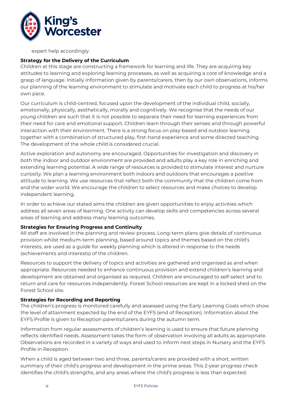

expert help accordingly.

### **Strategy for the Delivery of the Curriculum**

Children at this stage are constructing a framework for learning and life. They are acquiring key attitudes to learning and exploring learning processes, as well as acquiring a core of knowledge and a grasp of language. Initially information given by parents/carers, then by our own observations, informs our planning of the learning environment to stimulate and motivate each child to progress at his/her own pace.

Our curriculum is child-centred, focused upon the development of the individual child, socially, emotionally, physically, aesthetically, morally and cognitively. We recognise that the needs of our young children are such that it is not possible to separate their need for learning experiences from their need for care and emotional support. Children learn through their senses and through powerful interaction with their environment. There is a strong focus on play-based and outdoor learning together with a combination of structured play, first-hand experience and some directed teaching. The development of the whole child is considered crucial.

Active exploration and autonomy are encouraged. Opportunities for investigation and discovery in both the indoor and outdoor environment are provided and adults play a key role in enriching and extending learning potential. A wide range of resources is provided to stimulate interest and nurture curiosity. We plan a learning environment both indoors and outdoors that encourages a positive attitude to learning. We use resources that reflect both the community that the children come from and the wider world. We encourage the children to select resources and make choices to develop independent learning.

In order to achieve our stated aims the children are given opportunities to enjoy activities which address all seven areas of learning. One activity can develop skills and competencies across several areas of learning and address many learning outcomes.

#### **Strategies for Ensuring Progress and Continuity**

All staff are involved in the planning and review process. Long-term plans give details of continuous provision whilst medium-term planning, based around topics and themes based on the child's interests, are used as a guide for weekly planning which is altered in response to the needs (achievements and interests) of the children.

Resources to support the delivery of topics and activities are gathered and organised as and when appropriate. Resources needed to enhance continuous provision and extend children's learning and development are obtained and organised as required. Children are encouraged to self-select and to return and care for resources independently. Forest School resources are kept in a locked shed on the Forest School site.

#### **Strategies for Recording and Reporting**

The children's progress is monitored carefully and assessed using the Early Learning Goals which show the level of attainment expected by the end of the EYFS (end of Reception). Information about the EYFS Profile is given to Reception parents/carers during the autumn term.

Information from regular assessments of children's learning is used to ensure that future planning reflects identified needs. Assessment takes the form of observation involving all adults as appropriate. Observations are recorded in a variety of ways and used to inform next steps in Nursery and the EYFS Profile in Reception.

When a child is aged between two and three, parents/carers are provided with a short, written summary of their child's progress and development in the prime areas. This 2-year progress check identifies the child's strengths, and any areas where the child's progress is less than expected.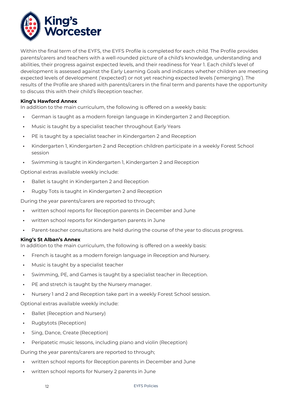

Within the final term of the EYFS, the EYFS Profile is completed for each child. The Profile provides parents/carers and teachers with a well-rounded picture of a child's knowledge, understanding and abilities, their progress against expected levels, and their readiness for Year 1. Each child's level of development is assessed against the Early Learning Goals and indicates whether children are meeting expected levels of development ('expected') or not yet reaching expected levels ('emerging'). The results of the Profile are shared with parents/carers in the final term and parents have the opportunity to discuss this with their child's Reception teacher.

### **King's Hawford Annex**

In addition to the main curriculum, the following is offered on a weekly basis:

- **•** German is taught as a modern foreign language in Kindergarten 2 and Reception.
- **•** Music is taught by a specialist teacher throughout Early Years
- **•** PE is taught by a specialist teacher in Kindergarten 2 and Reception
- **•** Kindergarten 1, Kindergarten 2 and Reception children participate in a weekly Forest School session
- **•** Swimming is taught in Kindergarten 1, Kindergarten 2 and Reception

Optional extras available weekly include:

- **•** Ballet is taught in Kindergarten 2 and Reception
- **•** Rugby Tots is taught in Kindergarten 2 and Reception

During the year parents/carers are reported to through;

- **•** written school reports for Reception parents in December and June
- **•** written school reports for Kindergarten parents in June
- **•** Parent-teacher consultations are held during the course of the year to discuss progress.

#### **King's St Alban's Annex**

In addition to the main curriculum, the following is offered on a weekly basis:

- **•** French is taught as a modern foreign language in Reception and Nursery.
- **•** Music is taught by a specialist teacher
- **•** Swimming, PE, and Games is taught by a specialist teacher in Reception.
- **•** PE and stretch is taught by the Nursery manager.
- **•** Nursery 1 and 2 and Reception take part in a weekly Forest School session.

Optional extras available weekly include:

- **•** Ballet (Reception and Nursery)
- **•** Rugbytots (Reception)
- **•** Sing, Dance, Create (Reception)
- **•** Peripatetic music lessons, including piano and violin (Reception)

During the year parents/carers are reported to through;

- **•** written school reports for Reception parents in December and June
- **•** written school reports for Nursery 2 parents in June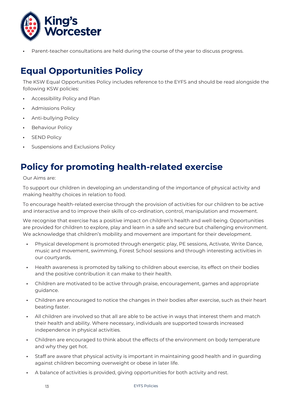

**•** Parent-teacher consultations are held during the course of the year to discuss progress.

## <span id="page-12-0"></span>**Equal Opportunities Policy**

The KSW Equal Opportunities Policy includes reference to the EYFS and should be read alongside the following KSW policies:

- **•** Accessibility Policy and Plan
- **•** Admissions Policy
- **•** Anti-bullying Policy
- **•** Behaviour Policy
- **•** SEND Policy
- **•** Suspensions and Exclusions Policy

## **Policy for promoting health-related exercise**

<span id="page-12-1"></span>Our Aims are:

To support our children in developing an understanding of the importance of physical activity and making healthy choices in relation to food.

To encourage health-related exercise through the provision of activities for our children to be active and interactive and to improve their skills of co-ordination, control, manipulation and movement.

We recognise that exercise has a positive impact on children's health and well-being. Opportunities are provided for children to explore, play and learn in a safe and secure but challenging environment. We acknowledge that children's mobility and movement are important for their development.

- **•** Physical development is promoted through energetic play, PE sessions, Activate, Write Dance, music and movement, swimming, Forest School sessions and through interesting activities in our courtyards.
- **•** Health awareness is promoted by talking to children about exercise, its effect on their bodies and the positive contribution it can make to their health.
- **•** Children are motivated to be active through praise, encouragement, games and appropriate guidance.
- **•** Children are encouraged to notice the changes in their bodies after exercise, such as their heart beating faster.
- **•** All children are involved so that all are able to be active in ways that interest them and match their health and ability. Where necessary, individuals are supported towards increased independence in physical activities.
- **•** Children are encouraged to think about the effects of the environment on body temperature and why they get hot.
- **•** Staff are aware that physical activity is important in maintaining good health and in guarding against children becoming overweight or obese in later life.
- **•** A balance of activities is provided, giving opportunities for both activity and rest.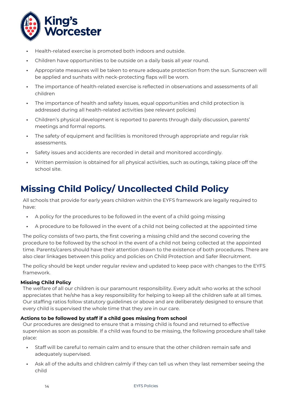

- **•** Health-related exercise is promoted both indoors and outside.
- **•** Children have opportunities to be outside on a daily basis all year round.
- **•** Appropriate measures will be taken to ensure adequate protection from the sun. Sunscreen will be applied and sunhats with neck-protecting flaps will be worn.
- **•** The importance of health-related exercise is reflected in observations and assessments of all children
- **•** The importance of health and safety issues, equal opportunities and child protection is addressed during all health-related activities (see relevant policies)
- **•** Children's physical development is reported to parents through daily discussion, parents' meetings and formal reports.
- **•** The safety of equipment and facilities is monitored through appropriate and regular risk assessments.
- **•** Safety issues and accidents are recorded in detail and monitored accordingly.
- **•** Written permission is obtained for all physical activities, such as outings, taking place off the school site.

## <span id="page-13-0"></span>**Missing Child Policy/ Uncollected Child Policy**

All schools that provide for early years children within the EYFS framework are legally required to have:

- **•** A policy for the procedures to be followed in the event of a child going missing
- **•** A procedure to be followed in the event of a child not being collected at the appointed time

The policy consists of two parts, the first covering a missing child and the second covering the procedure to be followed by the school in the event of a child not being collected at the appointed time. Parents/carers should have their attention drawn to the existence of both procedures. There are also clear linkages between this policy and policies on Child Protection and Safer Recruitment.

The policy should be kept under regular review and updated to keep pace with changes to the EYFS framework.

#### **Missing Child Policy**

The welfare of all our children is our paramount responsibility. Every adult who works at the school appreciates that he/she has a key responsibility for helping to keep all the children safe at all times. Our staffing ratios follow statutory guidelines or above and are deliberately designed to ensure that every child is supervised the whole time that they are in our care.

#### **Actions to be followed by staff if a child goes missing from school**

Our procedures are designed to ensure that a missing child is found and returned to effective supervision as soon as possible. If a child was found to be missing, the following procedure shall take place:

- **•** Staff will be careful to remain calm and to ensure that the other children remain safe and adequately supervised.
- **•** Ask all of the adults and children calmly if they can tell us when they last remember seeing the child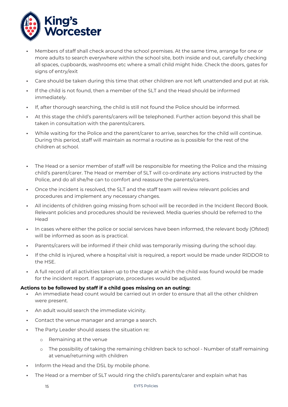

- **•** Members of staff shall check around the school premises. At the same time, arrange for one or more adults to search everywhere within the school site, both inside and out, carefully checking all spaces, cupboards, washrooms etc where a small child might hide. Check the doors, gates for signs of entry/exit
- **•** Care should be taken during this time that other children are not left unattended and put at risk.
- **•** If the child is not found, then a member of the SLT and the Head should be informed immediately.
- **•** If, after thorough searching, the child is still not found the Police should be informed.
- **•** At this stage the child's parents/carers will be telephoned. Further action beyond this shall be taken in consultation with the parents/carers.
- **•** While waiting for the Police and the parent/carer to arrive, searches for the child will continue. During this period, staff will maintain as normal a routine as is possible for the rest of the children at school.
- **•** The Head or a senior member of staff will be responsible for meeting the Police and the missing child's parent/carer. The Head or member of SLT will co-ordinate any actions instructed by the Police, and do all she/he can to comfort and reassure the parents/carers.
- **•** Once the incident is resolved, the SLT and the staff team will review relevant policies and procedures and implement any necessary changes.
- **•** All incidents of children going missing from school will be recorded in the Incident Record Book. Relevant policies and procedures should be reviewed. Media queries should be referred to the Head
- **•** In cases where either the police or social services have been informed, the relevant body (Ofsted) will be informed as soon as is practical.
- **•** Parents/carers will be informed if their child was temporarily missing during the school day.
- **•** If the child is injured, where a hospital visit is required, a report would be made under RIDDOR to the HSE.
- **•** A full record of all activities taken up to the stage at which the child was found would be made for the incident report. If appropriate, procedures would be adjusted.

### **Actions to be followed by staff if a child goes missing on an outing:**

- **•** An immediate head count would be carried out in order to ensure that all the other children were present.
- **•** An adult would search the immediate vicinity.
- **•** Contact the venue manager and arrange a search.
- **•** The Party Leader should assess the situation re:
	- o Remaining at the venue
	- o The possibility of taking the remaining children back to school Number of staff remaining at venue/returning with children
- **•** Inform the Head and the DSL by mobile phone.
- **•** The Head or a member of SLT would ring the child's parents/carer and explain what has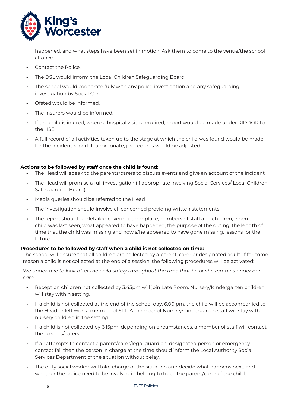

happened, and what steps have been set in motion. Ask them to come to the venue/the school at once.

- **•** Contact the Police.
- **•** The DSL would inform the Local Children Safeguarding Board.
- **•** The school would cooperate fully with any police investigation and any safeguarding investigation by Social Care.
- **•** Ofsted would be informed.
- **•** The Insurers would be informed.
- **•** If the child is injured, where a hospital visit is required, report would be made under RIDDOR to the HSE
- **•** A full record of all activities taken up to the stage at which the child was found would be made for the incident report. If appropriate, procedures would be adjusted.

### **Actions to be followed by staff once the child is found:**

- **•** The Head will speak to the parents/carers to discuss events and give an account of the incident
- **•** The Head will promise a full investigation (if appropriate involving Social Services/ Local Children Safeguarding Board)
- **•** Media queries should be referred to the Head
- **•** The investigation should involve all concerned providing written statements
- **•** The report should be detailed covering: time, place, numbers of staff and children, when the child was last seen, what appeared to have happened, the purpose of the outing, the length of time that the child was missing and how s/he appeared to have gone missing, lessons for the future.

### **Procedures to be followed by staff when a child is not collected on time:**

The school will ensure that all children are collected by a parent, carer or designated adult. If for some reason a child is not collected at the end of a session, the following procedures will be activated:

*We undertake to look after the child safely throughout the time that he or she remains under our care.* 

- **•** Reception children not collected by 3.45pm will join Late Room. Nursery/Kindergarten children will stay within setting.
- **•** If a child is not collected at the end of the school day, 6.00 pm, the child will be accompanied to the Head or left with a member of SLT. A member of Nursery/Kindergarten staff will stay with nursery children in the setting.
- **•** If a child is not collected by 6.15pm, depending on circumstances, a member of staff will contact the parents/carers.
- **•** If all attempts to contact a parent/carer/legal guardian, designated person or emergency contact fail then the person in charge at the time should inform the Local Authority Social Services Department of the situation without delay.
- **•** The duty social worker will take charge of the situation and decide what happens next, and whether the police need to be involved in helping to trace the parent/carer of the child.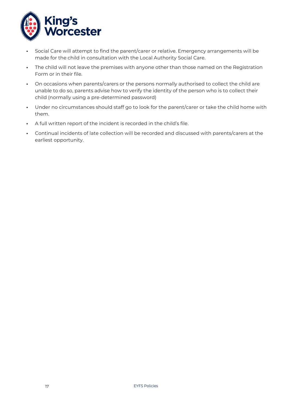

- **•** Social Care will attempt to find the parent/carer or relative. Emergency arrangements will be made for the child in consultation with the Local Authority Social Care.
- **•** The child will not leave the premises with anyone other than those named on the Registration Form or in their file.
- **•** On occasions when parents/carers or the persons normally authorised to collect the child are unable to do so, parents advise how to verify the identity of the person who is to collect their child (normally using a pre-determined password)
- **•** Under no circumstances should staff go to look for the parent/carer or take the child home with them.
- **•** A full written report of the incident is recorded in the child's file.
- **•** Continual incidents of late collection will be recorded and discussed with parents/carers at the earliest opportunity.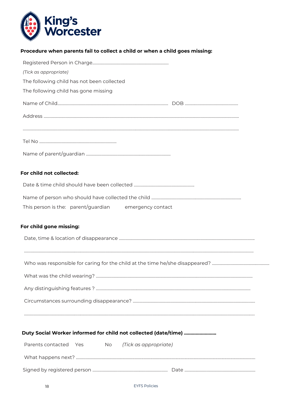

### **Procedure when parents fail to collect a child or when a child goes missing:**

| (Tick as appropriate)                      |                                    |
|--------------------------------------------|------------------------------------|
| The following child has not been collected |                                    |
| The following child has gone missing       |                                    |
|                                            |                                    |
|                                            |                                    |
|                                            |                                    |
|                                            |                                    |
|                                            |                                    |
| For child not collected:                   |                                    |
|                                            |                                    |
|                                            |                                    |
|                                            |                                    |
| This person is the: parent/guardian        | emergency contact                  |
| For child gone missing:                    |                                    |
|                                            |                                    |
|                                            |                                    |
|                                            |                                    |
|                                            |                                    |
|                                            |                                    |
|                                            |                                    |
|                                            |                                    |
|                                            |                                    |
|                                            |                                    |
|                                            |                                    |
| Parents contacted Yes                      | <b>No</b><br>(Tick as appropriate) |
|                                            |                                    |
|                                            |                                    |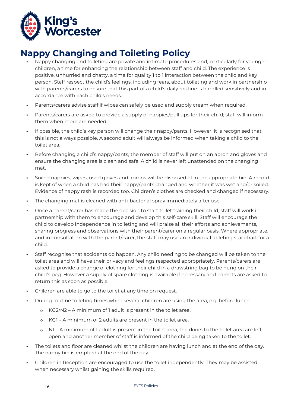

## <span id="page-18-0"></span>**Nappy Changing and Toileting Policy**

- **•** Nappy changing and toileting are private and intimate procedures and, particularly for younger children, a time for enhancing the relationship between staff and child. The experience is positive, unhurried and chatty, a time for quality 1 to 1 interaction between the child and key person. Staff respect the child's feelings, including fears, about toileting and work in partnership with parents/carers to ensure that this part of a child's daily routine is handled sensitively and in accordance with each child's needs.
- **•** Parents/carers advise staff if wipes can safely be used and supply cream when required.
- **•** Parents/carers are asked to provide a supply of nappies/pull ups for their child; staff will inform them when more are needed.
- **•** If possible, the child's key person will change their nappy/pants. However, it is recognised that this is not always possible. A second adult will always be informed when taking a child to the toilet area.
- **•** Before changing a child's nappy/pants, the member of staff will put on an apron and gloves and ensure the changing area is clean and safe. A child is never left unattended on the changing mat.
- **•** Soiled nappies, wipes, used gloves and aprons will be disposed of in the appropriate bin. A record is kept of when a child has had their nappy/pants changed and whether it was wet and/or soiled. Evidence of nappy rash is recorded too. Children's clothes are checked and changed if necessary.
- **•** The changing mat is cleaned with anti-bacterial spray immediately after use.
- **•** Once a parent/carer has made the decision to start toilet training their child, staff will work in partnership with them to encourage and develop this self-care skill. Staff will encourage the child to develop independence in toileting and will praise all their efforts and achievements, sharing progress and observations with their parent/carer on a regular basis. Where appropriate, and in consultation with the parent/carer, the staff may use an individual toileting star chart for a child.
- **•** Staff recognise that accidents do happen. Any child needing to be changed will be taken to the toilet area and will have their privacy and feelings respected appropriately. Parents/carers are asked to provide a change of clothing for their child in a drawstring bag to be hung on their child's peg. However a supply of spare clothing is available if necessary and parents are asked to return this as soon as possible.
- **•** Children are able to go to the toilet at any time on request.
- **•** During routine toileting times when several children are using the area, e.g. before lunch:
	- o KG2/N2 A minimum of 1 adult is present in the toilet area.
	- o KG1 A minimum of 2 adults are present in the toilet area.
	- o N1 A minimum of 1 adult is present in the toilet area, the doors to the toilet area are left open and another member of staff is informed of the child being taken to the toilet.
- **•** The toilets and floor are cleaned whilst the children are having lunch and at the end of the day. The nappy bin is emptied at the end of the day.
- **•** Children in Reception are encouraged to use the toilet independently. They may be assisted when necessary whilst gaining the skills required.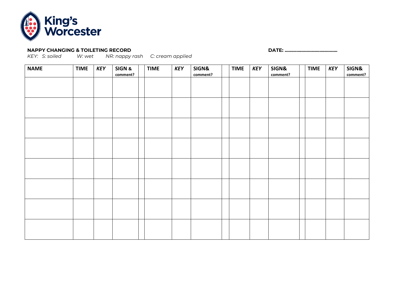

### **NAPPY CHANGING & TOILETING RECORD DATE: …………………………………..**

*KEY: S: soiled W: wet NR: nappy rash C: cream applied*

| <b>NAME</b> | <b>TIME</b> | KEY | <b>SIGN&amp;</b><br>comment? | <b>TIME</b> | KEY | SIGN&<br>comment? | <b>TIME</b> | KEY | SIGN&<br>comment? | <b>TIME</b> | KEY | SIGN&<br>comment? |
|-------------|-------------|-----|------------------------------|-------------|-----|-------------------|-------------|-----|-------------------|-------------|-----|-------------------|
|             |             |     |                              |             |     |                   |             |     |                   |             |     |                   |
|             |             |     |                              |             |     |                   |             |     |                   |             |     |                   |
|             |             |     |                              |             |     |                   |             |     |                   |             |     |                   |
|             |             |     |                              |             |     |                   |             |     |                   |             |     |                   |
|             |             |     |                              |             |     |                   |             |     |                   |             |     |                   |
|             |             |     |                              |             |     |                   |             |     |                   |             |     |                   |
|             |             |     |                              |             |     |                   |             |     |                   |             |     |                   |
|             |             |     |                              |             |     |                   |             |     |                   |             |     |                   |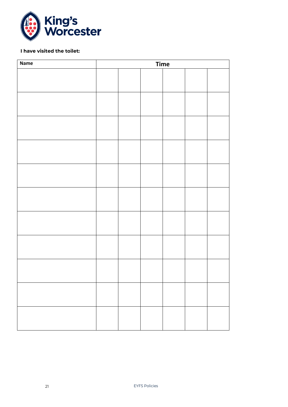

### **I have visited the toilet:**

| Name | <b>Time</b> |  |  |  |  |  |
|------|-------------|--|--|--|--|--|
|      |             |  |  |  |  |  |
|      |             |  |  |  |  |  |
|      |             |  |  |  |  |  |
|      |             |  |  |  |  |  |
|      |             |  |  |  |  |  |
|      |             |  |  |  |  |  |
|      |             |  |  |  |  |  |
|      |             |  |  |  |  |  |
|      |             |  |  |  |  |  |
|      |             |  |  |  |  |  |
|      |             |  |  |  |  |  |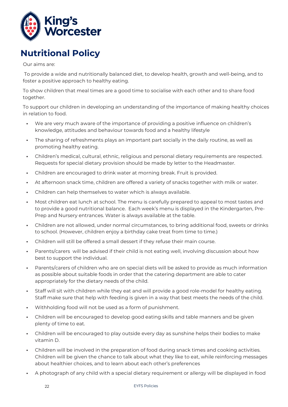

## <span id="page-21-0"></span>**Nutritional Policy**

Our aims are:

To provide a wide and nutritionally balanced diet, to develop health, growth and well-being, and to foster a positive approach to healthy eating.

To show children that meal times are a good time to socialise with each other and to share food together.

To support our children in developing an understanding of the importance of making healthy choices in relation to food.

- **•** We are very much aware of the importance of providing a positive influence on children's knowledge, attitudes and behaviour towards food and a healthy lifestyle
- **•** The sharing of refreshments plays an important part socially in the daily routine, as well as promoting healthy eating.
- **•** Children's medical, cultural, ethnic, religious and personal dietary requirements are respected. Requests for special dietary provision should be made by letter to the Headmaster.
- **•** Children are encouraged to drink water at morning break. Fruit is provided.
- **•** At afternoon snack time, children are offered a variety of snacks together with milk or water.
- **•** Children can help themselves to water which is always available.
- **•** Most children eat lunch at school. The menu is carefully prepared to appeal to most tastes and to provide a good nutritional balance. Each week's menu is displayed in the Kindergarten, Pre-Prep and Nursery entrances. Water is always available at the table.
- **•** Children are not allowed, under normal circumstances, to bring additional food, sweets or drinks to school. (However, children enjoy a birthday cake treat from time to time.)
- **•** Children will still be offered a small dessert if they refuse their main course.
- **•** Parents/carers will be advised if their child is not eating well, involving discussion about how best to support the individual.
- **•** Parents/carers of children who are on special diets will be asked to provide as much information as possible about suitable foods in order that the catering department are able to cater appropriately for the dietary needs of the child.
- **•** Staff will sit with children while they eat and will provide a good role-model for healthy eating. Staff make sure that help with feeding is given in a way that best meets the needs of the child.
- **•** Withholding food will not be used as a form of punishment.
- **•** Children will be encouraged to develop good eating skills and table manners and be given plenty of time to eat.
- **•** Children will be encouraged to play outside every day as sunshine helps their bodies to make vitamin D.
- **•** Children will be involved in the preparation of food during snack times and cooking activities. Children will be given the chance to talk about what they like to eat, while reinforcing messages about healthier choices, and to learn about each other's preferences
- **•** A photograph of any child with a special dietary requirement or allergy will be displayed in food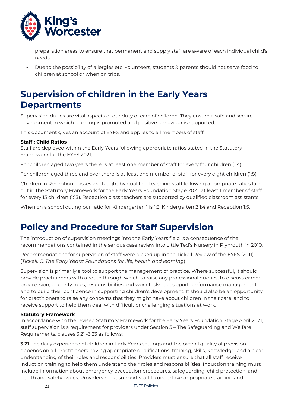

preparation areas to ensure that permanent and supply staff are aware of each individual child's needs.

**•** Due to the possibility of allergies etc, volunteers, students & parents should not serve food to children at school or when on trips.

## <span id="page-22-0"></span>**Supervision of children in the Early Years Departments**

Supervision duties are vital aspects of our duty of care of children. They ensure a safe and secure environment in which learning is promoted and positive behaviour is supported.

This document gives an account of EYFS and applies to all members of staff.

### **Staff : Child Ratios**

Staff are deployed within the Early Years following appropriate ratios stated in the Statutory Framework for the EYFS 2021.

For children aged two years there is at least one member of staff for every four children (1:4).

For children aged three and over there is at least one member of staff for every eight children (1:8).

Children in Reception classes are taught by qualified teaching staff following appropriate ratios laid out in the Statutory Framework for the Early Years Foundation Stage 2021, at least 1 member of staff for every 13 children (1:13). Reception class teachers are supported by qualified classroom assistants.

When on a school outing our ratio for Kindergarten 1 is 1:3, Kindergarten 2 1:4 and Reception 1:5.

## <span id="page-22-1"></span>**Policy and Procedure for Staff Supervision**

The introduction of supervision meetings into the Early Years field is a consequence of the recommendations contained in the serious case review into Little Ted's Nursery in Plymouth in 2010.

Recommendations for supervision of staff were picked up in the Tickell Review of the EYFS (2011). (*Tickell, C. The Early Years: Foundations for life, health and learning*)

Supervision is primarily a tool to support the management of practice. Where successful, it should provide practitioners with a route through which to raise any professional queries, to discuss career progression, to clarify roles, responsibilities and work tasks, to support performance management and to build their confidence in supporting children's development. It should also be an opportunity for practitioners to raise any concerns that they might have about children in their care, and to receive support to help them deal with difficult or challenging situations at work.

#### **Statutory Framework**

In accordance with the revised Statutory Framework for the Early Years Foundation Stage April 2021, staff supervision is a requirement for providers under Section 3 – The Safeguarding and Welfare Requirements, clauses 3.21 -3.23 as follows:

**3.21** The daily experience of children in Early Years settings and the overall quality of provision depends on all practitioners having appropriate qualifications, training, skills, knowledge, and a clear understanding of their roles and responsibilities. Providers must ensure that all staff receive induction training to help them understand their roles and responsibilities. Induction training must include information about emergency evacuation procedures, safeguarding, child protection, and health and safety issues. Providers must support staff to undertake appropriate training and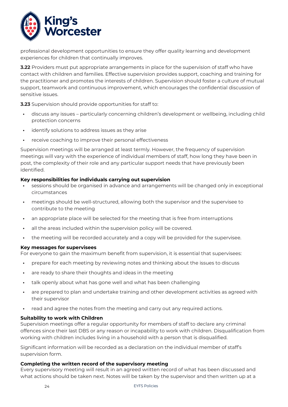

professional development opportunities to ensure they offer quality learning and development experiences for children that continually improves.

**3.22** Providers must put appropriate arrangements in place for the supervision of staff who have contact with children and families. Effective supervision provides support, coaching and training for the practitioner and promotes the interests of children. Supervision should foster a culture of mutual support, teamwork and continuous improvement, which encourages the confidential discussion of sensitive issues.

**3.23** Supervision should provide opportunities for staff to:

- **•** discuss any issues particularly concerning children's development or wellbeing, including child protection concerns
- **•** identify solutions to address issues as they arise
- **•** receive coaching to improve their personal effectiveness

Supervision meetings will be arranged at least termly. However, the frequency of supervision meetings will vary with the experience of individual members of staff, how long they have been in post, the complexity of their role and any particular support needs that have previously been identified.

### **Key responsibilities for individuals carrying out supervision**

- **•** sessions should be organised in advance and arrangements will be changed only in exceptional circumstances
- **•** meetings should be well-structured, allowing both the supervisor and the supervisee to contribute to the meeting
- **•** an appropriate place will be selected for the meeting that is free from interruptions
- **•** all the areas included within the supervision policy will be covered.
- **•** the meeting will be recorded accurately and a copy will be provided for the supervisee.

#### **Key messages for supervisees**

For everyone to gain the maximum benefit from supervision, it is essential that supervisees:

- **•** prepare for each meeting by reviewing notes and thinking about the issues to discuss
- **•** are ready to share their thoughts and ideas in the meeting
- **•** talk openly about what has gone well and what has been challenging
- **•** are prepared to plan and undertake training and other development activities as agreed with their supervisor
- **•** read and agree the notes from the meeting and carry out any required actions.

### **Suitability to work with Children**

Supervision meetings offer a regular opportunity for members of staff to declare any criminal offences since their last DBS or any reason or incapability to work with children. Disqualification from working with children includes living in a household with a person that is disqualified.

Significant information will be recorded as a declaration on the individual member of staff's supervision form.

#### **Completing the written record of the supervisory meeting**

Every supervisory meeting will result in an agreed written record of what has been discussed and what actions should be taken next. Notes will be taken by the supervisor and then written up at a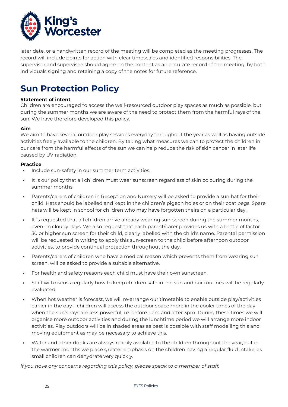

later date, or a handwritten record of the meeting will be completed as the meeting progresses. The record will include points for action with clear timescales and identified responsibilities. The supervisor and supervisee should agree on the content as an accurate record of the meeting, by both individuals signing and retaining a copy of the notes for future reference.

## <span id="page-24-0"></span>**Sun Protection Policy**

### **Statement of intent**

Children are encouraged to access the well-resourced outdoor play spaces as much as possible, but during the summer months we are aware of the need to protect them from the harmful rays of the sun. We have therefore developed this policy.

### **Aim**

We aim to have several outdoor play sessions everyday throughout the year as well as having outside activities freely available to the children. By taking what measures we can to protect the children in our care from the harmful effects of the sun we can help reduce the risk of skin cancer in later life caused by UV radiation.

### **Practice**

- **•** Include sun-safety in our summer term activities.
- **•** It is our policy that all children must wear sunscreen regardless of skin colouring during the summer months.
- **•** Parents/carers of children in Reception and Nursery will be asked to provide a sun hat for their child. Hats should be labelled and kept in the children's pigeon holes or on their coat pegs. Spare hats will be kept in school for children who may have forgotten theirs on a particular day.
- **•** It is requested that all children arrive already wearing sun-screen during the summer months, even on cloudy days. We also request that each parent/carer provides us with a bottle of factor 30 or higher sun screen for their child, clearly labelled with the child's name. Parental permission will be requested in writing to apply this sun-screen to the child before afternoon outdoor activities, to provide continual protection throughout the day.
- **•** Parents/carers of children who have a medical reason which prevents them from wearing sun screen, will be asked to provide a suitable alternative.
- **•** For health and safety reasons each child must have their own sunscreen.
- **•** Staff will discuss regularly how to keep children safe in the sun and our routines will be regularly evaluated
- **•** When hot weather is forecast, we will re-arrange our timetable to enable outside play/activities earlier in the day – children will access the outdoor space more in the cooler times of the day when the sun's rays are less powerful, i.e. before 11am and after 3pm. During these times we will organise more outdoor activities and during the lunchtime period we will arrange more indoor activities. Play outdoors will be in shaded areas as best is possible with staff modelling this and moving equipment as may be necessary to achieve this.
- **•** Water and other drinks are always readily available to the children throughout the year, but in the warmer months we place greater emphasis on the children having a regular fluid intake, as small children can dehydrate very quickly.

*If you have any concerns regarding this policy, please speak to a member of staff.*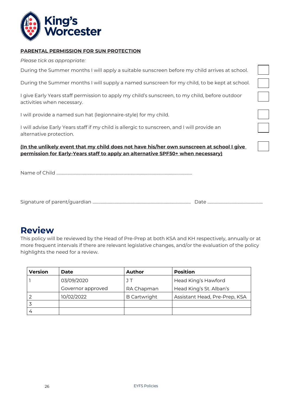

### **PARENTAL PERMISSION FOR SUN PROTECTION**

*Please tick as appropriate:*

During the Summer months I will apply a suitable sunscreen before my child arrives at school.

During the Summer months I will supply a named sunscreen for my child, to be kept at school.

I give Early Years staff permission to apply my child's sunscreen, to my child, before outdoor activities when necessary.

I will provide a named sun hat (legionnaire-style) for my child.

I will advise Early Years staff if my child is allergic to sunscreen, and I will provide an alternative protection.

### **(In the unlikely event that my child does not have his/her own sunscreen at school I give permission for Early-Years staff to apply an alternative SPF50+ when necessary)**

Name of Child ………………………………………………………………………………………………………………….

| <u>.</u><br>SIAr<br>JC.<br>$-$ |  |
|--------------------------------|--|
|--------------------------------|--|

### **Review**

This policy will be reviewed by the Head of Pre-Prep at both KSA and KH respectively, annually or at more frequent intervals if there are relevant legislative changes, and/or the evaluation of the policy highlights the need for a review.

| <b>Version</b> | Date              | Author              | <b>Position</b>               |
|----------------|-------------------|---------------------|-------------------------------|
|                | 03/09/2020        | JТ                  | Head King's Hawford           |
|                | Governor approved | RA Chapman          | Head King's St. Alban's       |
|                | 10/02/2022        | <b>B</b> Cartwright | Assistant Head, Pre-Prep, KSA |
|                |                   |                     |                               |
|                |                   |                     |                               |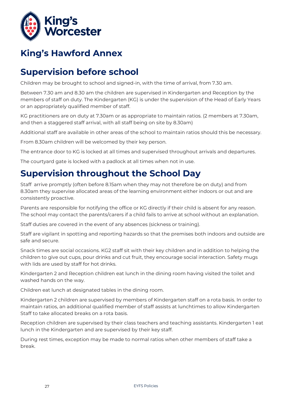

## <span id="page-26-0"></span>**King's Hawford Annex**

## **Supervision before school**

Children may be brought to school and signed-in, with the time of arrival, from 7.30 am.

Between 7.30 am and 8.30 am the children are supervised in Kindergarten and Reception by the members of staff on duty. The Kindergarten (KG) is under the supervision of the Head of Early Years or an appropriately qualified member of staff.

KG practitioners are on duty at 7.30am or as appropriate to maintain ratios. (2 members at 7.30am, and then a staggered staff arrival, with all staff being on site by 8.30am)

Additional staff are available in other areas of the school to maintain ratios should this be necessary.

From 8.30am children will be welcomed by their key person.

The entrance door to KG is locked at all times and supervised throughout arrivals and departures.

The courtyard gate is locked with a padlock at all times when not in use.

## **Supervision throughout the School Day**

Staff arrive promptly (often before 8.15am when they may not therefore be on duty) and from 8.30am they supervise allocated areas of the learning environment either indoors or out and are consistently proactive.

Parents are responsible for notifying the office or KG directly if their child is absent for any reason. The school may contact the parents/carers if a child fails to arrive at school without an explanation.

Staff duties are covered in the event of any absences (sickness or training).

Staff are vigilant in spotting and reporting hazards so that the premises both indoors and outside are safe and secure.

Snack times are social occasions. KG2 staff sit with their key children and in addition to helping the children to give out cups, pour drinks and cut fruit, they encourage social interaction. Safety mugs with lids are used by staff for hot drinks.

Kindergarten 2 and Reception children eat lunch in the dining room having visited the toilet and washed hands on the way.

Children eat lunch at designated tables in the dining room.

Kindergarten 2 children are supervised by members of Kindergarten staff on a rota basis. In order to maintain ratios, an additional qualified member of staff assists at lunchtimes to allow Kindergarten Staff to take allocated breaks on a rota basis.

Reception children are supervised by their class teachers and teaching assistants. Kindergarten 1 eat lunch in the Kindergarten and are supervised by their key staff.

During rest times, exception may be made to normal ratios when other members of staff take a break.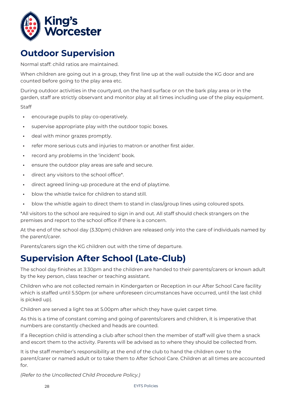

## **Outdoor Supervision**

Normal staff: child ratios are maintained.

When children are going out in a group, they first line up at the wall outside the KG door and are counted before going to the play area etc.

During outdoor activities in the courtyard, on the hard surface or on the bark play area or in the garden, staff are strictly observant and monitor play at all times including use of the play equipment.

### **Staff**

- **•** encourage pupils to play co-operatively.
- **•** supervise appropriate play with the outdoor topic boxes.
- **•** deal with minor grazes promptly.
- **•** refer more serious cuts and injuries to matron or another first aider.
- **•** record any problems in the 'incident' book.
- **•** ensure the outdoor play areas are safe and secure.
- **•** direct any visitors to the school office\*.
- **•** direct agreed lining-up procedure at the end of playtime.
- **•** blow the whistle twice for children to stand still.
- **•** blow the whistle again to direct them to stand in class/group lines using coloured spots.

\*All visitors to the school are required to sign in and out. All staff should check strangers on the premises and report to the school office if there is a concern.

At the end of the school day (3.30pm) children are released only into the care of individuals named by the parent/carer.

Parents/carers sign the KG children out with the time of departure.

## **Supervision After School (Late-Club)**

The school day finishes at 3:30pm and the children are handed to their parents/carers or known adult by the key person, class teacher or teaching assistant.

Children who are not collected remain in Kindergarten or Reception in our After School Care facility which is staffed until 5.50pm (or where unforeseen circumstances have occurred, until the last child is picked up).

Children are served a light tea at 5.00pm after which they have quiet carpet time.

As this is a time of constant coming and going of parents/carers and children, it is imperative that numbers are constantly checked and heads are counted.

If a Reception child is attending a club after school then the member of staff will give them a snack and escort them to the activity. Parents will be advised as to where they should be collected from.

It is the staff member's responsibility at the end of the club to hand the children over to the parent/carer or named adult or to take them to After School Care. Children at all times are accounted for.

*(Refer to the Uncollected Child Procedure Policy.)*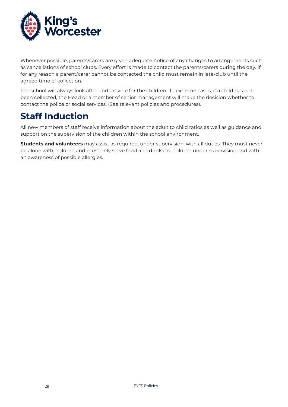

Whenever possible, parents/carers are given adequate notice of any changes to arrangements such as cancellations of school clubs. Every effort is made to contact the parents/carers during the day. If for any reason a parent/carer cannot be contacted the child must remain in late-club until the agreed time of collection.

The school will always look after and provide for the children. In extreme cases, if a child has not been collected, the Head or a member of senior management will make the decision whether to contact the police or social services. (See relevant policies and procedures).

## **Staff Induction**

All new members of staff receive information about the adult to child ratios as well as guidance and support on the supervision of the children within the school environment.

**Students and volunteers** may assist as required, under supervision, with all duties. They must never be alone with children and must only serve food and drinks to children under supervision and with an awareness of possible allergies.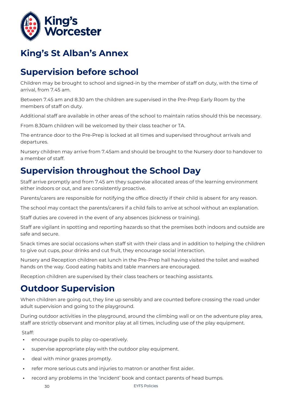

## <span id="page-29-0"></span>**King's St Alban's Annex**

## **Supervision before school**

Children may be brought to school and signed-in by the member of staff on duty, with the time of arrival, from 7.45 am.

Between 7.45 am and 8.30 am the children are supervised in the Pre-Prep Early Room by the members of staff on duty.

Additional staff are available in other areas of the school to maintain ratios should this be necessary.

From 8.30am children will be welcomed by their class teacher or TA.

The entrance door to the Pre-Prep is locked at all times and supervised throughout arrivals and departures.

Nursery children may arrive from 7.45am and should be brought to the Nursery door to handover to a member of staff.

## **Supervision throughout the School Day**

Staff arrive promptly and from 7.45 am they supervise allocated areas of the learning environment either indoors or out, and are consistently proactive.

Parents/carers are responsible for notifying the office directly if their child is absent for any reason.

The school may contact the parents/carers if a child fails to arrive at school without an explanation.

Staff duties are covered in the event of any absences (sickness or training).

Staff are vigilant in spotting and reporting hazards so that the premises both indoors and outside are safe and secure.

Snack times are social occasions when staff sit with their class and in addition to helping the children to give out cups, pour drinks and cut fruit, they encourage social interaction.

Nursery and Reception children eat lunch in the Pre-Prep hall having visited the toilet and washed hands on the way. Good eating habits and table manners are encouraged.

Reception children are supervised by their class teachers or teaching assistants.

## **Outdoor Supervision**

When children are going out, they line up sensibly and are counted before crossing the road under adult supervision and going to the playground.

During outdoor activities in the playground, around the climbing wall or on the adventure play area, staff are strictly observant and monitor play at all times, including use of the play equipment.

Staff:

- **•** encourage pupils to play co-operatively.
- **•** supervise appropriate play with the outdoor play equipment.
- **•** deal with minor grazes promptly.
- **•** refer more serious cuts and injuries to matron or another first aider.
- **•** record any problems in the 'incident' book and contact parents of head bumps.